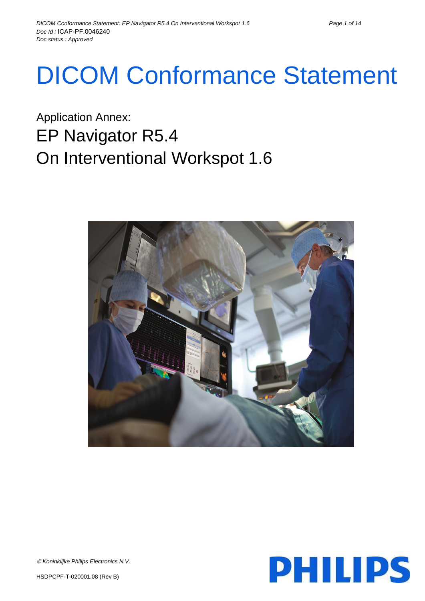# DICOM Conformance Statement

Application Annex: EP Navigator R5.4 On Interventional Workspot 1.6



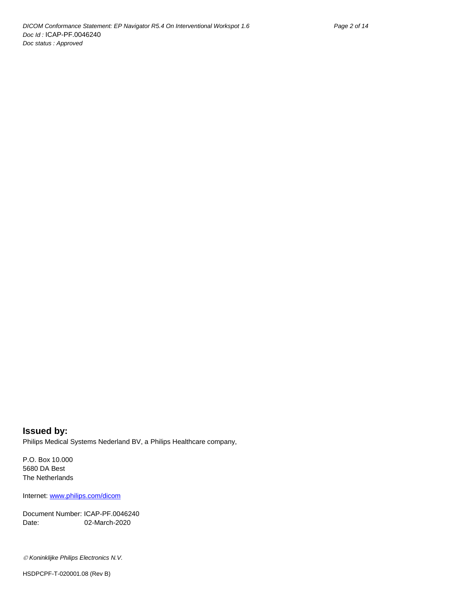**Issued by:** Philips Medical Systems Nederland BV, a Philips Healthcare company,

P.O. Box 10.000 5680 DA Best The Netherlands

Internet[: www.philips.com/dicom](http://www.philips.com/dicom)

Document Number: ICAP-PF.0046240 Date: 02-March-2020

*Koninklijke Philips Electronics N.V.*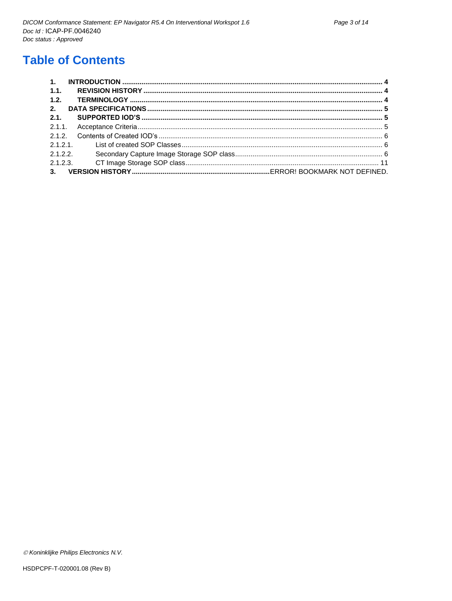# **Table of Contents**

| 1.   |         |  |
|------|---------|--|
| 1.1. |         |  |
| 1.2. |         |  |
| 2.   |         |  |
| 2.1. |         |  |
|      |         |  |
|      |         |  |
|      | 2.1.2.1 |  |
|      | 2.1.2.2 |  |
|      |         |  |
|      |         |  |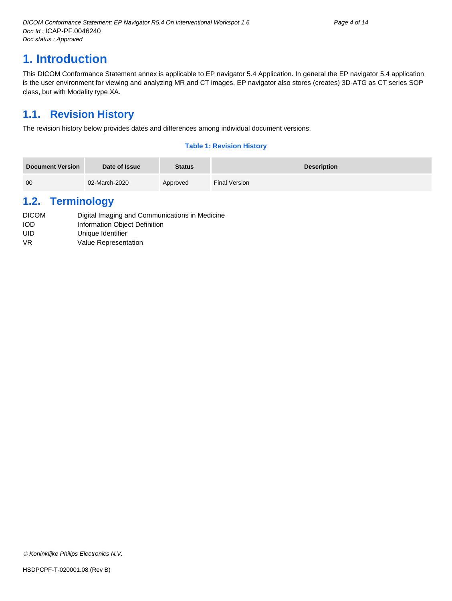# <span id="page-3-0"></span>**1. Introduction**

This DICOM Conformance Statement annex is applicable to EP navigator 5.4 Application. In general the EP navigator 5.4 application is the user environment for viewing and analyzing MR and CT images. EP navigator also stores (creates) 3D-ATG as CT series SOP class, but with Modality type XA.

## <span id="page-3-1"></span>**1.1. Revision History**

The revision history below provides dates and differences among individual document versions.

#### **Table 1: Revision History**

| <b>Document Version</b> | Date of Issue | <b>Status</b> | <b>Description</b> |
|-------------------------|---------------|---------------|--------------------|
| 00                      | 02-March-2020 | Approved      | Final Version      |

### <span id="page-3-2"></span>**1.2. Terminology**

| <b>DICOM</b> | Digital Imaging and Communications in Medicine |
|--------------|------------------------------------------------|
| <b>IOD</b>   | Information Object Definition                  |
| UID          | Unique Identifier                              |
| VR           | Value Representation                           |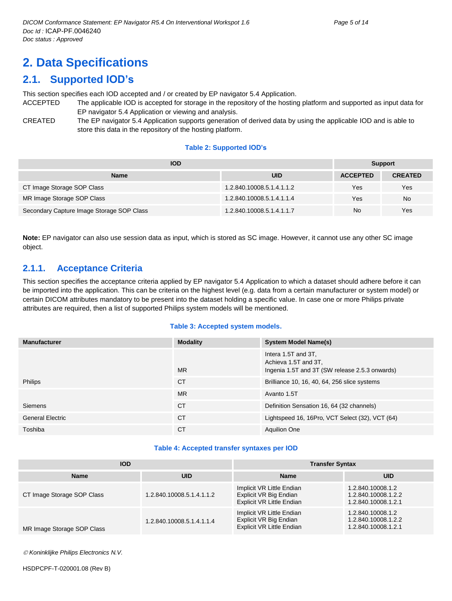# <span id="page-4-0"></span>**2. Data Specifications**

# <span id="page-4-1"></span>**2.1. Supported IOD's**

This section specifies each IOD accepted and / or created by EP navigator 5.4 Application.

- ACCEPTED The applicable IOD is accepted for storage in the repository of the hosting platform and supported as input data for EP navigator 5.4 Application or viewing and analysis.
- CREATED The EP navigator 5.4 Application supports generation of derived data by using the applicable IOD and is able to store this data in the repository of the hosting platform.

#### **Table 2: Supported IOD's**

| <b>IOD</b>                                | <b>Support</b>            |                 |                |
|-------------------------------------------|---------------------------|-----------------|----------------|
| <b>Name</b>                               | <b>UID</b>                | <b>ACCEPTED</b> | <b>CREATED</b> |
| CT Image Storage SOP Class                | 1.2.840.10008.5.1.4.1.1.2 | Yes             | Yes            |
| MR Image Storage SOP Class                | 1.2.840.10008.5.1.4.1.1.4 | Yes             | <b>No</b>      |
| Secondary Capture Image Storage SOP Class | 1.2.840.10008.5.1.4.1.1.7 | No              | Yes            |

**Note:** EP navigator can also use session data as input, which is stored as SC image. However, it cannot use any other SC image object.

#### <span id="page-4-2"></span>**2.1.1. Acceptance Criteria**

This section specifies the acceptance criteria applied by EP navigator 5.4 Application to which a dataset should adhere before it can be imported into the application. This can be criteria on the highest level (e.g. data from a certain manufacturer or system model) or certain DICOM attributes mandatory to be present into the dataset holding a specific value. In case one or more Philips private attributes are required, then a list of supported Philips system models will be mentioned.

#### **Table 3: Accepted system models.**

| <b>Manufacturer</b>     | <b>Modality</b> | <b>System Model Name(s)</b>                                                                   |
|-------------------------|-----------------|-----------------------------------------------------------------------------------------------|
|                         | <b>MR</b>       | Intera 1.5T and 3T.<br>Achieva 1.5T and 3T,<br>Ingenia 1.5T and 3T (SW release 2.5.3 onwards) |
| Philips                 | <b>CT</b>       | Brilliance 10, 16, 40, 64, 256 slice systems                                                  |
|                         | <b>MR</b>       | Avanto 1.5T                                                                                   |
| <b>Siemens</b>          | <b>CT</b>       | Definition Sensation 16, 64 (32 channels)                                                     |
| <b>General Electric</b> | <b>CT</b>       | Lightspeed 16, 16Pro, VCT Select (32), VCT (64)                                               |
| Toshiba                 | <b>CT</b>       | <b>Aquilion One</b>                                                                           |

#### **Table 4: Accepted transfer syntaxes per IOD**

| <b>IOD</b>                 |                           | <b>Transfer Syntax</b>                                                                  |                                                                 |  |
|----------------------------|---------------------------|-----------------------------------------------------------------------------------------|-----------------------------------------------------------------|--|
| <b>Name</b>                | <b>UID</b>                | <b>Name</b>                                                                             | <b>UID</b>                                                      |  |
| CT Image Storage SOP Class | 1.2.840.10008.5.1.4.1.1.2 | Implicit VR Little Endian<br>Explicit VR Big Endian<br>Explicit VR Little Endian        | 1.2.840.10008.1.2<br>1.2.840.10008.1.2.2<br>1.2.840.10008.1.2.1 |  |
| MR Image Storage SOP Class | 1.2.840.10008.5.1.4.1.1.4 | Implicit VR Little Endian<br>Explicit VR Big Endian<br><b>Explicit VR Little Endian</b> | 1.2.840.10008.1.2<br>1.2.840.10008.1.2.2<br>1.2.840.10008.1.2.1 |  |

*Koninklijke Philips Electronics N.V.*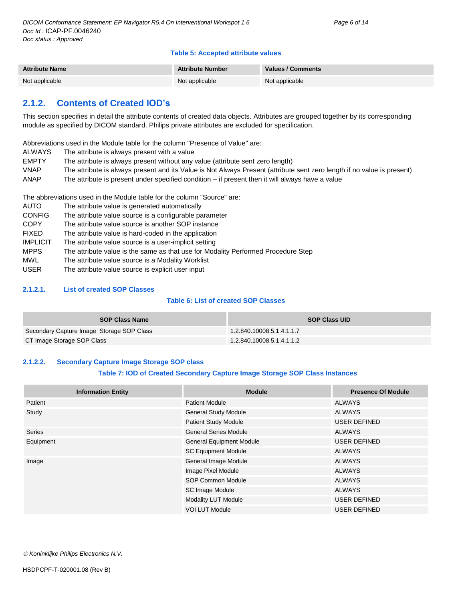#### **Table 5: Accepted attribute values**

| <b>Attribute Name</b> | <b>Attribute Number</b> | <b>Values / Comments</b> |
|-----------------------|-------------------------|--------------------------|
| Not applicable        | Not applicable          | Not applicable           |

#### <span id="page-5-0"></span>**2.1.2. Contents of Created IOD's**

This section specifies in detail the attribute contents of created data objects. Attributes are grouped together by its corresponding module as specified by DICOM standard. Philips private attributes are excluded for specification.

Abbreviations used in the Module table for the column "Presence of Value" are:

- ALWAYS The attribute is always present with a value
- EMPTY The attribute is always present without any value (attribute sent zero length)
- VNAP The attribute is always present and its Value is Not Always Present (attribute sent zero length if no value is present)
- ANAP The attribute is present under specified condition if present then it will always have a value

The abbreviations used in the Module table for the column "Source" are:

AUTO The attribute value is generated automatically CONFIG The attribute value source is a configurable parameter COPY The attribute value source is another SOP instance FIXED The attribute value is hard-coded in the application IMPLICIT The attribute value source is a user-implicit setting MPPS The attribute value is the same as that use for Modality Performed Procedure Step MWL The attribute value source is a Modality Worklist USER The attribute value source is explicit user input

#### <span id="page-5-1"></span>**2.1.2.1. List of created SOP Classes**

#### **Table 6: List of created SOP Classes**

| <b>SOP Class Name</b>                     | <b>SOP Class UID</b>      |
|-------------------------------------------|---------------------------|
| Secondary Capture Image Storage SOP Class | 1.2.840.10008.5.1.4.1.1.7 |
| CT Image Storage SOP Class                | 1.2.840.10008.5.1.4.1.1.2 |

#### <span id="page-5-2"></span>**2.1.2.2. Secondary Capture Image Storage SOP class**

#### **Table 7: IOD of Created Secondary Capture Image Storage SOP Class Instances**

| <b>Information Entity</b> | <b>Module</b>                   | <b>Presence Of Module</b> |  |
|---------------------------|---------------------------------|---------------------------|--|
| Patient                   | Patient Module                  | ALWAYS                    |  |
| Study                     | <b>General Study Module</b>     | <b>ALWAYS</b>             |  |
|                           | <b>Patient Study Module</b>     | <b>USER DEFINED</b>       |  |
| <b>Series</b>             | <b>General Series Module</b>    | ALWAYS                    |  |
| Equipment                 | <b>General Equipment Module</b> | <b>USER DEFINED</b>       |  |
|                           | <b>SC Equipment Module</b>      | <b>ALWAYS</b>             |  |
| Image                     | General Image Module            | ALWAYS                    |  |
|                           | Image Pixel Module              | <b>ALWAYS</b>             |  |
|                           | SOP Common Module               | ALWAYS                    |  |
|                           | SC Image Module                 | <b>ALWAYS</b>             |  |
|                           | Modality LUT Module             | <b>USER DEFINED</b>       |  |
|                           | <b>VOI LUT Module</b>           | <b>USER DEFINED</b>       |  |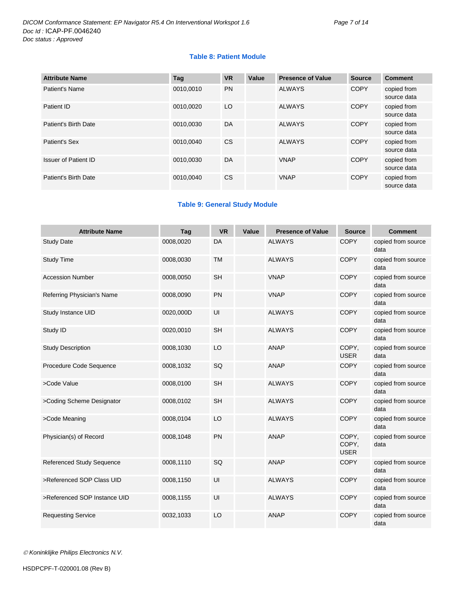#### **Table 8: Patient Module**

| <b>Attribute Name</b>       | Tag       | <b>VR</b> | Value | <b>Presence of Value</b> | <b>Source</b> | <b>Comment</b>             |
|-----------------------------|-----------|-----------|-------|--------------------------|---------------|----------------------------|
| Patient's Name              | 0010.0010 | <b>PN</b> |       | <b>ALWAYS</b>            | <b>COPY</b>   | copied from<br>source data |
| Patient ID                  | 0010.0020 | LO        |       | <b>ALWAYS</b>            | <b>COPY</b>   | copied from<br>source data |
| Patient's Birth Date        | 0010.0030 | DA        |       | <b>ALWAYS</b>            | <b>COPY</b>   | copied from<br>source data |
| Patient's Sex               | 0010.0040 | <b>CS</b> |       | <b>ALWAYS</b>            | <b>COPY</b>   | copied from<br>source data |
| <b>Issuer of Patient ID</b> | 0010.0030 | DA        |       | <b>VNAP</b>              | <b>COPY</b>   | copied from<br>source data |
| Patient's Birth Date        | 0010.0040 | <b>CS</b> |       | <b>VNAP</b>              | <b>COPY</b>   | copied from<br>source data |

#### **Table 9: General Study Module**

| <b>Attribute Name</b>            | Tag       | <b>VR</b> | Value | <b>Presence of Value</b> | <b>Source</b>                 | <b>Comment</b>             |
|----------------------------------|-----------|-----------|-------|--------------------------|-------------------------------|----------------------------|
| <b>Study Date</b>                | 0008,0020 | <b>DA</b> |       | <b>ALWAYS</b>            | <b>COPY</b>                   | copied from source<br>data |
| <b>Study Time</b>                | 0008,0030 | <b>TM</b> |       | <b>ALWAYS</b>            | <b>COPY</b>                   | copied from source<br>data |
| <b>Accession Number</b>          | 0008,0050 | <b>SH</b> |       | <b>VNAP</b>              | <b>COPY</b>                   | copied from source<br>data |
| Referring Physician's Name       | 0008,0090 | <b>PN</b> |       | <b>VNAP</b>              | <b>COPY</b>                   | copied from source<br>data |
| Study Instance UID               | 0020,000D | UI        |       | <b>ALWAYS</b>            | <b>COPY</b>                   | copied from source<br>data |
| Study ID                         | 0020,0010 | <b>SH</b> |       | <b>ALWAYS</b>            | <b>COPY</b>                   | copied from source<br>data |
| <b>Study Description</b>         | 0008,1030 | LO        |       | <b>ANAP</b>              | COPY,<br><b>USER</b>          | copied from source<br>data |
| Procedure Code Sequence          | 0008,1032 | SQ        |       | <b>ANAP</b>              | <b>COPY</b>                   | copied from source<br>data |
| >Code Value                      | 0008,0100 | <b>SH</b> |       | <b>ALWAYS</b>            | <b>COPY</b>                   | copied from source<br>data |
| >Coding Scheme Designator        | 0008,0102 | <b>SH</b> |       | <b>ALWAYS</b>            | COPY                          | copied from source<br>data |
| >Code Meaning                    | 0008,0104 | LO        |       | <b>ALWAYS</b>            | <b>COPY</b>                   | copied from source<br>data |
| Physician(s) of Record           | 0008,1048 | <b>PN</b> |       | <b>ANAP</b>              | COPY,<br>COPY,<br><b>USER</b> | copied from source<br>data |
| <b>Referenced Study Sequence</b> | 0008,1110 | SQ        |       | <b>ANAP</b>              | <b>COPY</b>                   | copied from source<br>data |
| >Referenced SOP Class UID        | 0008,1150 | UI        |       | <b>ALWAYS</b>            | <b>COPY</b>                   | copied from source<br>data |
| >Referenced SOP Instance UID     | 0008,1155 | UI        |       | <b>ALWAYS</b>            | <b>COPY</b>                   | copied from source<br>data |
| <b>Requesting Service</b>        | 0032,1033 | LO        |       | <b>ANAP</b>              | <b>COPY</b>                   | copied from source<br>data |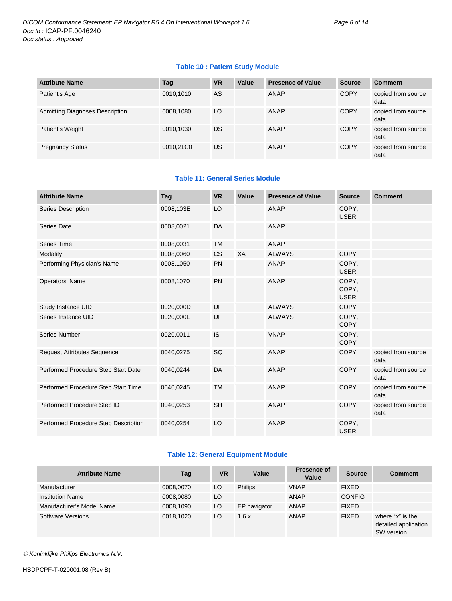#### **Table 10 : Patient Study Module**

| <b>Attribute Name</b>                  | Taq       | <b>VR</b> | Value | <b>Presence of Value</b> | <b>Source</b> | <b>Comment</b>             |
|----------------------------------------|-----------|-----------|-------|--------------------------|---------------|----------------------------|
| Patient's Age                          | 0010,1010 | AS        |       | ANAP                     | <b>COPY</b>   | copied from source<br>data |
| <b>Admitting Diagnoses Description</b> | 0008,1080 | LO        |       | ANAP                     | <b>COPY</b>   | copied from source<br>data |
| Patient's Weight                       | 0010,1030 | DS        |       | ANAP                     | <b>COPY</b>   | copied from source<br>data |
| <b>Pregnancy Status</b>                | 0010,21C0 | US        |       | ANAP                     | <b>COPY</b>   | copied from source<br>data |

#### **Table 11: General Series Module**

| <b>Attribute Name</b>                | Tag       | <b>VR</b> | Value | <b>Presence of Value</b> | <b>Source</b>                 | <b>Comment</b>             |
|--------------------------------------|-----------|-----------|-------|--------------------------|-------------------------------|----------------------------|
| Series Description                   | 0008,103E | LO        |       | <b>ANAP</b>              | COPY,<br><b>USER</b>          |                            |
| <b>Series Date</b>                   | 0008,0021 | DA        |       | <b>ANAP</b>              |                               |                            |
| <b>Series Time</b>                   | 0008,0031 | <b>TM</b> |       | <b>ANAP</b>              |                               |                            |
| Modality                             | 0008,0060 | <b>CS</b> | XA    | <b>ALWAYS</b>            | <b>COPY</b>                   |                            |
| Performing Physician's Name          | 0008,1050 | <b>PN</b> |       | <b>ANAP</b>              | COPY.<br><b>USER</b>          |                            |
| <b>Operators' Name</b>               | 0008,1070 | <b>PN</b> |       | <b>ANAP</b>              | COPY,<br>COPY,<br><b>USER</b> |                            |
| Study Instance UID                   | 0020,000D | UI        |       | <b>ALWAYS</b>            | <b>COPY</b>                   |                            |
| Series Instance UID                  | 0020,000E | UI        |       | <b>ALWAYS</b>            | COPY,<br><b>COPY</b>          |                            |
| Series Number                        | 0020,0011 | IS        |       | <b>VNAP</b>              | COPY,<br><b>COPY</b>          |                            |
| <b>Request Attributes Sequence</b>   | 0040,0275 | SQ        |       | <b>ANAP</b>              | <b>COPY</b>                   | copied from source<br>data |
| Performed Procedure Step Start Date  | 0040,0244 | DA        |       | <b>ANAP</b>              | <b>COPY</b>                   | copied from source<br>data |
| Performed Procedure Step Start Time  | 0040,0245 | <b>TM</b> |       | <b>ANAP</b>              | <b>COPY</b>                   | copied from source<br>data |
| Performed Procedure Step ID          | 0040,0253 | <b>SH</b> |       | <b>ANAP</b>              | <b>COPY</b>                   | copied from source<br>data |
| Performed Procedure Step Description | 0040,0254 | LO        |       | <b>ANAP</b>              | COPY,<br><b>USER</b>          |                            |

#### **Table 12: General Equipment Module**

| <b>Attribute Name</b>     | Tag       | <b>VR</b> | Value          | <b>Presence of</b><br>Value | <b>Source</b> | <b>Comment</b>                                          |
|---------------------------|-----------|-----------|----------------|-----------------------------|---------------|---------------------------------------------------------|
| Manufacturer              | 0008,0070 | LO.       | <b>Philips</b> | <b>VNAP</b>                 | <b>FIXED</b>  |                                                         |
| <b>Institution Name</b>   | 0008.0080 | LO.       |                | ANAP                        | <b>CONFIG</b> |                                                         |
| Manufacturer's Model Name | 0008,1090 | LO        | EP navigator   | ANAP                        | <b>FIXED</b>  |                                                         |
| Software Versions         | 0018,1020 | LO        | 1.6.x          | ANAP                        | <b>FIXED</b>  | where "x" is the<br>detailed application<br>SW version. |

*Koninklijke Philips Electronics N.V.*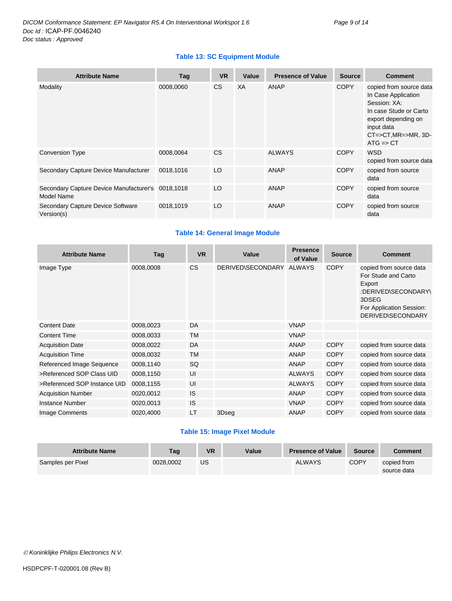#### **Table 13: SC Equipment Module**

| <b>Attribute Name</b>                                           | Tag       | <b>VR</b> | Value | <b>Presence of Value</b> | <b>Source</b> | <b>Comment</b>                                                                                                                                                                              |
|-----------------------------------------------------------------|-----------|-----------|-------|--------------------------|---------------|---------------------------------------------------------------------------------------------------------------------------------------------------------------------------------------------|
| Modality                                                        | 0008,0060 | <b>CS</b> | XA    | ANAP                     | <b>COPY</b>   | copied from source data<br>In Case Application<br>Session: XA:<br>In case Stude or Carto<br>export depending on<br>input data<br>$CT = > CT$ , $MR = > MR$ , $3D -$<br>$ATG \Rightarrow CT$ |
| <b>Conversion Type</b>                                          | 0008,0064 | <b>CS</b> |       | <b>ALWAYS</b>            | <b>COPY</b>   | <b>WSD</b><br>copied from source data                                                                                                                                                       |
| Secondary Capture Device Manufacturer                           | 0018,1016 | LO        |       | <b>ANAP</b>              | <b>COPY</b>   | copied from source<br>data                                                                                                                                                                  |
| Secondary Capture Device Manufacturer's 0018,1018<br>Model Name |           | LO        |       | ANAP                     | <b>COPY</b>   | copied from source<br>data                                                                                                                                                                  |
| Secondary Capture Device Software<br>Version(s)                 | 0018,1019 | LO        |       | <b>ANAP</b>              | <b>COPY</b>   | copied from source<br>data                                                                                                                                                                  |

#### **Table 14: General Image Module**

| <b>Attribute Name</b>        | Tag       | <b>VR</b> | Value                    | <b>Presence</b><br>of Value | <b>Source</b> | <b>Comment</b>                                                                                                                            |
|------------------------------|-----------|-----------|--------------------------|-----------------------------|---------------|-------------------------------------------------------------------------------------------------------------------------------------------|
| Image Type                   | 0008,0008 | <b>CS</b> | DERIVED\SECONDARY ALWAYS |                             | <b>COPY</b>   | copied from source data<br>For Stude and Carto<br>Export<br>:DERIVED\SECONDARY\<br>3DSEG<br>For Application Session:<br>DERIVED\SECONDARY |
| <b>Content Date</b>          | 0008,0023 | DA        |                          | <b>VNAP</b>                 |               |                                                                                                                                           |
| <b>Content Time</b>          | 0008,0033 | <b>TM</b> |                          | <b>VNAP</b>                 |               |                                                                                                                                           |
| <b>Acquisition Date</b>      | 0008,0022 | DA        |                          | <b>ANAP</b>                 | <b>COPY</b>   | copied from source data                                                                                                                   |
| <b>Acquisition Time</b>      | 0008,0032 | <b>TM</b> |                          | ANAP                        | <b>COPY</b>   | copied from source data                                                                                                                   |
| Referenced Image Sequence    | 0008,1140 | <b>SQ</b> |                          | <b>ANAP</b>                 | <b>COPY</b>   | copied from source data                                                                                                                   |
| >Referenced SOP Class UID    | 0008,1150 | UI        |                          | <b>ALWAYS</b>               | <b>COPY</b>   | copied from source data                                                                                                                   |
| >Referenced SOP Instance UID | 0008,1155 | UI        |                          | <b>ALWAYS</b>               | <b>COPY</b>   | copied from source data                                                                                                                   |
| <b>Acquisition Number</b>    | 0020,0012 | <b>IS</b> |                          | <b>ANAP</b>                 | <b>COPY</b>   | copied from source data                                                                                                                   |
| <b>Instance Number</b>       | 0020,0013 | <b>IS</b> |                          | <b>VNAP</b>                 | <b>COPY</b>   | copied from source data                                                                                                                   |
| Image Comments               | 0020,4000 | LT        | 3Dseg                    | ANAP                        | <b>COPY</b>   | copied from source data                                                                                                                   |

#### **Table 15: Image Pixel Module**

| <b>Attribute Name</b> | Tag       | <b>VR</b> | Value | <b>Presence of Value</b> | <b>Source</b> | Comment                    |
|-----------------------|-----------|-----------|-------|--------------------------|---------------|----------------------------|
| Samples per Pixel     | 0028.0002 | US        |       | <b>ALWAYS</b>            | <b>COPY</b>   | copied from<br>source data |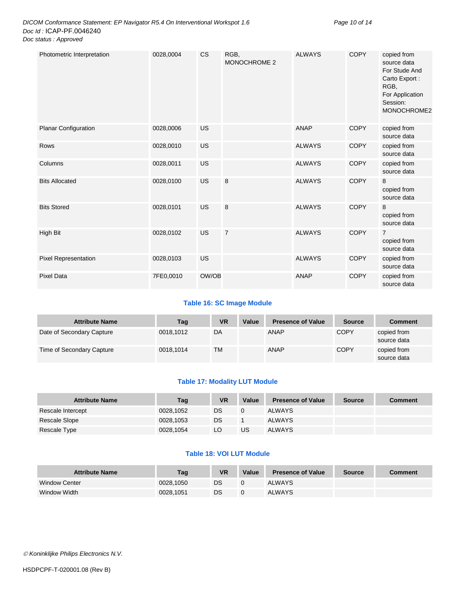| Photometric Interpretation  | 0028,0004 | <b>CS</b> | RGB,<br>MONOCHROME 2 | <b>ALWAYS</b> | <b>COPY</b> | copied from<br>source data<br>For Stude And<br>Carto Export:<br>RGB,<br>For Application<br>Session:<br>MONOCHROME2 |
|-----------------------------|-----------|-----------|----------------------|---------------|-------------|--------------------------------------------------------------------------------------------------------------------|
| <b>Planar Configuration</b> | 0028,0006 | US        |                      | <b>ANAP</b>   | <b>COPY</b> | copied from<br>source data                                                                                         |
| Rows                        | 0028,0010 | <b>US</b> |                      | <b>ALWAYS</b> | <b>COPY</b> | copied from<br>source data                                                                                         |
| Columns                     | 0028,0011 | US        |                      | <b>ALWAYS</b> | <b>COPY</b> | copied from<br>source data                                                                                         |
| <b>Bits Allocated</b>       | 0028,0100 | US        | 8                    | <b>ALWAYS</b> | <b>COPY</b> | 8<br>copied from<br>source data                                                                                    |
| <b>Bits Stored</b>          | 0028,0101 | US        | 8                    | <b>ALWAYS</b> | <b>COPY</b> | 8<br>copied from<br>source data                                                                                    |
| High Bit                    | 0028,0102 | US        | $\overline{7}$       | <b>ALWAYS</b> | <b>COPY</b> | $\overline{7}$<br>copied from<br>source data                                                                       |
| <b>Pixel Representation</b> | 0028,0103 | US        |                      | <b>ALWAYS</b> | <b>COPY</b> | copied from<br>source data                                                                                         |
| <b>Pixel Data</b>           | 7FE0,0010 | OW/OB     |                      | <b>ANAP</b>   | <b>COPY</b> | copied from<br>source data                                                                                         |

#### **Table 16: SC Image Module**

| <b>Attribute Name</b>     | Tag       | <b>VR</b> | Value | <b>Presence of Value</b> | <b>Source</b> | Comment                    |
|---------------------------|-----------|-----------|-------|--------------------------|---------------|----------------------------|
| Date of Secondary Capture | 0018.1012 | DA        |       | <b>ANAP</b>              | <b>COPY</b>   | copied from<br>source data |
| Time of Secondary Capture | 0018.1014 | ТM        |       | <b>ANAP</b>              | <b>COPY</b>   | copied from<br>source data |

#### **Table 17: Modality LUT Module**

| <b>Attribute Name</b> | Tag       | VR | Value | <b>Presence of Value</b> | <b>Source</b> | <b>Comment</b> |
|-----------------------|-----------|----|-------|--------------------------|---------------|----------------|
| Rescale Intercept     | 0028,1052 | DS |       | ALWAYS                   |               |                |
| Rescale Slope         | 0028.1053 | DS |       | <b>ALWAYS</b>            |               |                |
| Rescale Type          | 0028,1054 | LO | US    | <b>ALWAYS</b>            |               |                |

#### **Table 18: VOI LUT Module**

| <b>Attribute Name</b> | Tag       | <b>VR</b> | Value | <b>Presence of Value</b> | <b>Source</b> | Comment |
|-----------------------|-----------|-----------|-------|--------------------------|---------------|---------|
| <b>Window Center</b>  | 0028.1050 | DS        |       | <b>ALWAYS</b>            |               |         |
| Window Width          | 0028.1051 | DS        |       | <b>ALWAYS</b>            |               |         |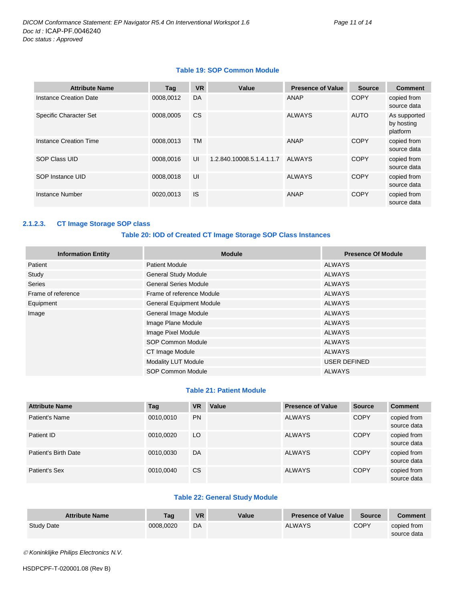#### **Table 19: SOP Common Module**

| <b>Attribute Name</b>         | Tag       | <b>VR</b> | Value                     | <b>Presence of Value</b> | <b>Source</b> | <b>Comment</b>                         |
|-------------------------------|-----------|-----------|---------------------------|--------------------------|---------------|----------------------------------------|
| Instance Creation Date        | 0008,0012 | DA        |                           | ANAP                     | <b>COPY</b>   | copied from<br>source data             |
| <b>Specific Character Set</b> | 0008.0005 | <b>CS</b> |                           | <b>ALWAYS</b>            | <b>AUTO</b>   | As supported<br>by hosting<br>platform |
| Instance Creation Time        | 0008.0013 | <b>TM</b> |                           | ANAP                     | <b>COPY</b>   | copied from<br>source data             |
| <b>SOP Class UID</b>          | 0008,0016 | UI        | 1.2.840.10008.5.1.4.1.1.7 | <b>ALWAYS</b>            | <b>COPY</b>   | copied from<br>source data             |
| SOP Instance UID              | 0008.0018 | UI        |                           | <b>ALWAYS</b>            | <b>COPY</b>   | copied from<br>source data             |
| Instance Number               | 0020,0013 | <b>IS</b> |                           | ANAP                     | <b>COPY</b>   | copied from<br>source data             |

#### <span id="page-10-0"></span>**2.1.2.3. CT Image Storage SOP class**

#### **Table 20: IOD of Created CT Image Storage SOP Class Instances**

| <b>Information Entity</b> | <b>Module</b>                   | <b>Presence Of Module</b> |
|---------------------------|---------------------------------|---------------------------|
| Patient                   | <b>Patient Module</b>           | <b>ALWAYS</b>             |
| Study                     | <b>General Study Module</b>     | <b>ALWAYS</b>             |
| <b>Series</b>             | <b>General Series Module</b>    | <b>ALWAYS</b>             |
| Frame of reference        | Frame of reference Module       | <b>ALWAYS</b>             |
| Equipment                 | <b>General Equipment Module</b> | <b>ALWAYS</b>             |
| Image                     | General Image Module            | <b>ALWAYS</b>             |
|                           | Image Plane Module              | <b>ALWAYS</b>             |
|                           | Image Pixel Module              | <b>ALWAYS</b>             |
|                           | SOP Common Module               | <b>ALWAYS</b>             |
|                           | CT Image Module                 | <b>ALWAYS</b>             |
|                           | Modality LUT Module             | <b>USER DEFINED</b>       |
|                           | <b>SOP Common Module</b>        | <b>ALWAYS</b>             |

#### **Table 21: Patient Module**

| <b>Attribute Name</b> | Tag       | <b>VR</b> | Value | <b>Presence of Value</b> | <b>Source</b> | <b>Comment</b>             |
|-----------------------|-----------|-----------|-------|--------------------------|---------------|----------------------------|
| Patient's Name        | 0010.0010 | <b>PN</b> |       | <b>ALWAYS</b>            | <b>COPY</b>   | copied from<br>source data |
| Patient ID            | 0010.0020 | LO        |       | <b>ALWAYS</b>            | <b>COPY</b>   | copied from<br>source data |
| Patient's Birth Date  | 0010.0030 | DA        |       | <b>ALWAYS</b>            | <b>COPY</b>   | copied from<br>source data |
| Patient's Sex         | 0010.0040 | <b>CS</b> |       | <b>ALWAYS</b>            | <b>COPY</b>   | copied from<br>source data |

#### **Table 22: General Study Module**

| <b>Attribute Name</b> | Taq       | <b>VR</b> | Value | <b>Presence of Value</b> | <b>Source</b> | <b>Comment</b> |
|-----------------------|-----------|-----------|-------|--------------------------|---------------|----------------|
| <b>Study Date</b>     | 0008.0020 | DA        |       | <b>ALWAYS</b>            | <b>COPY</b>   | copied from    |
|                       |           |           |       |                          |               | source data    |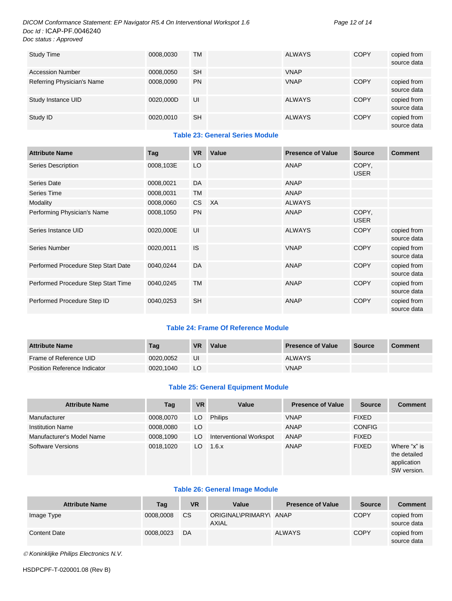#### *DICOM Conformance Statement: EP Navigator R5.4 On Interventional Workspot 1.6 Page 12 of 14 Doc Id :* ICAP-PF.0046240 *Doc status : Approved*

| <b>Study Time</b>          | 0008,0030 | <b>TM</b> | <b>ALWAYS</b> | <b>COPY</b> | copied from<br>source data |
|----------------------------|-----------|-----------|---------------|-------------|----------------------------|
| <b>Accession Number</b>    | 0008.0050 | <b>SH</b> | <b>VNAP</b>   |             |                            |
| Referring Physician's Name | 0008,0090 | <b>PN</b> | <b>VNAP</b>   | COPY        | copied from<br>source data |
| Study Instance UID         | 0020,000D | UI        | <b>ALWAYS</b> | <b>COPY</b> | copied from<br>source data |
| Study ID                   | 0020.0010 | <b>SH</b> | <b>ALWAYS</b> | <b>COPY</b> | copied from<br>source data |

#### **Table 23: General Series Module**

| <b>Attribute Name</b>               | Tag       | <b>VR</b> | Value     | <b>Presence of Value</b> | <b>Source</b>        | <b>Comment</b>             |
|-------------------------------------|-----------|-----------|-----------|--------------------------|----------------------|----------------------------|
| <b>Series Description</b>           | 0008,103E | LO        |           | <b>ANAP</b>              | COPY,<br><b>USER</b> |                            |
| Series Date                         | 0008,0021 | DA        |           | <b>ANAP</b>              |                      |                            |
| <b>Series Time</b>                  | 0008,0031 | <b>TM</b> |           | <b>ANAP</b>              |                      |                            |
| Modality                            | 0008,0060 | <b>CS</b> | <b>XA</b> | <b>ALWAYS</b>            |                      |                            |
| Performing Physician's Name         | 0008,1050 | <b>PN</b> |           | <b>ANAP</b>              | COPY,<br><b>USER</b> |                            |
| Series Instance UID                 | 0020,000E | UI        |           | <b>ALWAYS</b>            | <b>COPY</b>          | copied from<br>source data |
| <b>Series Number</b>                | 0020,0011 | <b>IS</b> |           | <b>VNAP</b>              | <b>COPY</b>          | copied from<br>source data |
| Performed Procedure Step Start Date | 0040,0244 | DA        |           | <b>ANAP</b>              | <b>COPY</b>          | copied from<br>source data |
| Performed Procedure Step Start Time | 0040,0245 | <b>TM</b> |           | <b>ANAP</b>              | <b>COPY</b>          | copied from<br>source data |
| Performed Procedure Step ID         | 0040,0253 | <b>SH</b> |           | <b>ANAP</b>              | <b>COPY</b>          | copied from<br>source data |

#### **Table 24: Frame Of Reference Module**

| <b>Attribute Name</b>               | Tag       | <b>VR</b> | Value | <b>Presence of Value</b> | Source | <b>Comment</b> |
|-------------------------------------|-----------|-----------|-------|--------------------------|--------|----------------|
| Frame of Reference UID              | 0020.0052 | UI        |       | <b>ALWAYS</b>            |        |                |
| <b>Position Reference Indicator</b> | 0020.1040 | LO        |       | <b>VNAP</b>              |        |                |

#### **Table 25: General Equipment Module**

| <b>Attribute Name</b>     | Tag       | <b>VR</b> | Value                   | <b>Presence of Value</b> | <b>Source</b> | <b>Comment</b>                                             |
|---------------------------|-----------|-----------|-------------------------|--------------------------|---------------|------------------------------------------------------------|
| Manufacturer              | 0008,0070 | LO        | <b>Philips</b>          | <b>VNAP</b>              | <b>FIXED</b>  |                                                            |
| <b>Institution Name</b>   | 0008,0080 | LO.       |                         | ANAP                     | <b>CONFIG</b> |                                                            |
| Manufacturer's Model Name | 0008,1090 | LO        | Interventional Workspot | ANAP                     | <b>FIXED</b>  |                                                            |
| Software Versions         | 0018,1020 | LO        | 1.6.x                   | ANAP                     | <b>FIXED</b>  | Where "x" is<br>the detailed<br>application<br>SW version. |

#### **Table 26: General Image Module**

| <b>Attribute Name</b> | Tag       | <b>VR</b> | Value                           | <b>Presence of Value</b> | <b>Source</b> | <b>Comment</b>             |
|-----------------------|-----------|-----------|---------------------------------|--------------------------|---------------|----------------------------|
| Image Type            | 0008,0008 | <b>CS</b> | ORIGINAL\PRIMARY\ ANAP<br>AXIAL |                          | <b>COPY</b>   | copied from<br>source data |
| <b>Content Date</b>   | 0008.0023 | DA        |                                 | <b>ALWAYS</b>            | <b>COPY</b>   | copied from<br>source data |

*Koninklijke Philips Electronics N.V.*